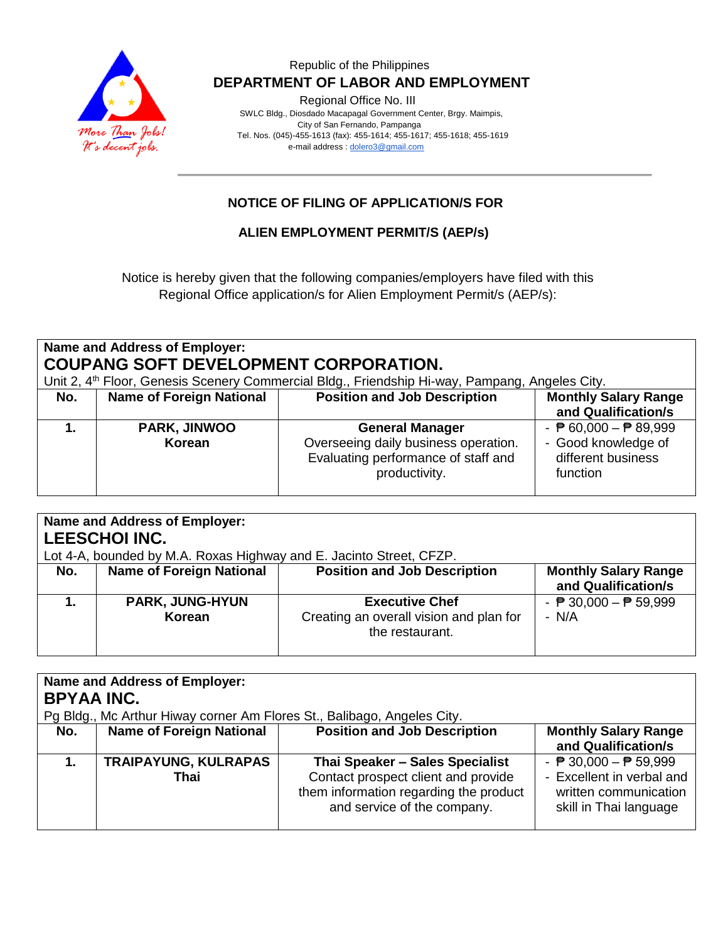

#### Republic of the Philippines  **DEPARTMENT OF LABOR AND EMPLOYMENT**

Regional Office No. III

 SWLC Bldg., Diosdado Macapagal Government Center, Brgy. Maimpis, City of San Fernando, Pampanga Tel. Nos. (045)-455-1613 (fax): 455-1614; 455-1617; 455-1618; 455-1619 e-mail address [: dolero3@gmail.com](mailto:dolero3@gmail.com)

### **NOTICE OF FILING OF APPLICATION/S FOR**

**ALIEN EMPLOYMENT PERMIT/S (AEP/s)**

Notice is hereby given that the following companies/employers have filed with this Regional Office application/s for Alien Employment Permit/s (AEP/s):

### **Name and Address of Employer: COUPANG SOFT DEVELOPMENT CORPORATION.**

Unit 2. 4<sup>th</sup> Floor, Genesis Scenery Commercial Bldg., Friendship Hi-way, Pampang, Angeles City.

| No. | <b>Name of Foreign National</b> | <b>Position and Job Description</b>                                                                                    | <b>Monthly Salary Range</b><br>and Qualification/s                                                       |
|-----|---------------------------------|------------------------------------------------------------------------------------------------------------------------|----------------------------------------------------------------------------------------------------------|
|     | <b>PARK, JINWOO</b><br>Korean   | <b>General Manager</b><br>Overseeing daily business operation.<br>Evaluating performance of staff and<br>productivity. | - $\overline{P}$ 60,000 - $\overline{P}$ 89,999<br>- Good knowledge of<br>different business<br>function |

| <b>Name and Address of Employer:</b><br><b>LEESCHOI INC.</b><br>Lot 4-A, bounded by M.A. Roxas Highway and E. Jacinto Street, CFZP. |                                  |                                                                                     |                                                          |
|-------------------------------------------------------------------------------------------------------------------------------------|----------------------------------|-------------------------------------------------------------------------------------|----------------------------------------------------------|
| No.                                                                                                                                 | <b>Name of Foreign National</b>  | <b>Position and Job Description</b>                                                 | <b>Monthly Salary Range</b><br>and Qualification/s       |
|                                                                                                                                     | <b>PARK, JUNG-HYUN</b><br>Korean | <b>Executive Chef</b><br>Creating an overall vision and plan for<br>the restaurant. | - $\overline{P}$ 30,000 - $\overline{P}$ 59,999<br>- N/A |

| <b>Name and Address of Employer:</b>                                    |                                 |                                        |                                                 |
|-------------------------------------------------------------------------|---------------------------------|----------------------------------------|-------------------------------------------------|
| <b>BPYAA INC.</b>                                                       |                                 |                                        |                                                 |
| Pg Bldg., Mc Arthur Hiway corner Am Flores St., Balibago, Angeles City. |                                 |                                        |                                                 |
| No.                                                                     | <b>Name of Foreign National</b> | <b>Position and Job Description</b>    | <b>Monthly Salary Range</b>                     |
|                                                                         |                                 |                                        | and Qualification/s                             |
|                                                                         | <b>TRAIPAYUNG, KULRAPAS</b>     | Thai Speaker - Sales Specialist        | - $\overline{P}$ 30,000 - $\overline{P}$ 59,999 |
|                                                                         | Thai                            | Contact prospect client and provide    | - Excellent in verbal and                       |
|                                                                         |                                 | them information regarding the product | written communication                           |
|                                                                         |                                 | and service of the company.            | skill in Thai language                          |
|                                                                         |                                 |                                        |                                                 |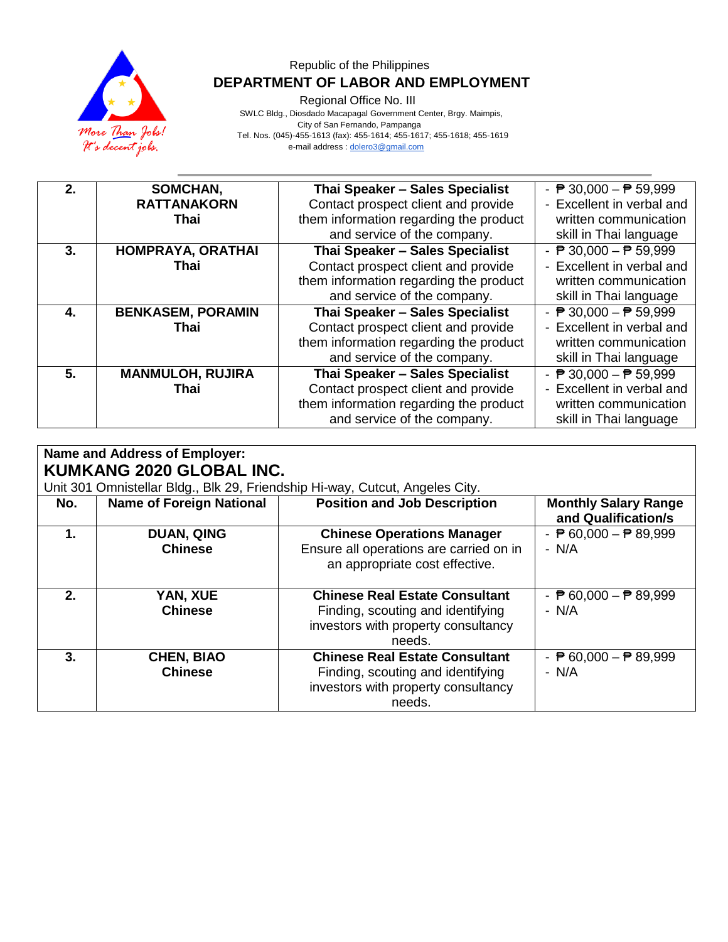

#### Republic of the Philippines  **DEPARTMENT OF LABOR AND EMPLOYMENT**

Regional Office No. III

 SWLC Bldg., Diosdado Macapagal Government Center, Brgy. Maimpis, City of San Fernando, Pampanga Tel. Nos. (045)-455-1613 (fax): 455-1614; 455-1617; 455-1618; 455-1619 e-mail address [: dolero3@gmail.com](mailto:dolero3@gmail.com)

| 2. | SOMCHAN,                 | Thai Speaker - Sales Specialist        | - $\overline{P}$ 30,000 - $\overline{P}$ 59,999 |
|----|--------------------------|----------------------------------------|-------------------------------------------------|
|    | <b>RATTANAKORN</b>       | Contact prospect client and provide    | - Excellent in verbal and                       |
|    | Thai                     | them information regarding the product | written communication                           |
|    |                          | and service of the company.            | skill in Thai language                          |
| 3. | HOMPRAYA, ORATHAI        | Thai Speaker - Sales Specialist        | - $\overline{P}$ 30,000 - $\overline{P}$ 59,999 |
|    | Thai                     | Contact prospect client and provide    | - Excellent in verbal and                       |
|    |                          | them information regarding the product | written communication                           |
|    |                          | and service of the company.            | skill in Thai language                          |
| 4. | <b>BENKASEM, PORAMIN</b> | Thai Speaker - Sales Specialist        | - $\overline{P}$ 30,000 - $\overline{P}$ 59,999 |
|    | Thai                     | Contact prospect client and provide    | - Excellent in verbal and                       |
|    |                          | them information regarding the product | written communication                           |
|    |                          | and service of the company.            | skill in Thai language                          |
| 5. | <b>MANMULOH, RUJIRA</b>  | Thai Speaker - Sales Specialist        | - $\overline{P}$ 30,000 - $\overline{P}$ 59,999 |
|    | Thai                     | Contact prospect client and provide    | - Excellent in verbal and                       |
|    |                          | them information regarding the product | written communication                           |
|    |                          | and service of the company.            | skill in Thai language                          |

| <b>Name and Address of Employer:</b><br><b>KUMKANG 2020 GLOBAL INC.</b><br>Unit 301 Omnistellar Bldg., Blk 29, Friendship Hi-way, Cutcut, Angeles City. |                                     |                                                                                                                             |                                                          |
|---------------------------------------------------------------------------------------------------------------------------------------------------------|-------------------------------------|-----------------------------------------------------------------------------------------------------------------------------|----------------------------------------------------------|
| No.                                                                                                                                                     | <b>Name of Foreign National</b>     | <b>Position and Job Description</b>                                                                                         | <b>Monthly Salary Range</b><br>and Qualification/s       |
| 1.                                                                                                                                                      | <b>DUAN, QING</b><br><b>Chinese</b> | <b>Chinese Operations Manager</b><br>Ensure all operations are carried on in<br>an appropriate cost effective.              | - $\overline{P}$ 60,000 - $\overline{P}$ 89,999<br>- N/A |
| 2.                                                                                                                                                      | YAN, XUE<br><b>Chinese</b>          | <b>Chinese Real Estate Consultant</b><br>Finding, scouting and identifying<br>investors with property consultancy<br>needs. | - $\overline{P}$ 60,000 - $\overline{P}$ 89,999<br>- N/A |
| 3.                                                                                                                                                      | <b>CHEN, BIAO</b><br><b>Chinese</b> | <b>Chinese Real Estate Consultant</b><br>Finding, scouting and identifying<br>investors with property consultancy<br>needs. | - $\overline{P}$ 60,000 - $\overline{P}$ 89,999<br>- N/A |